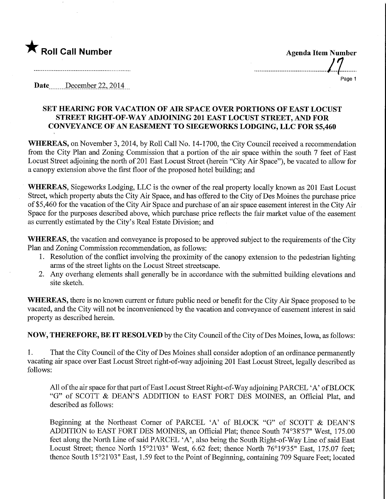

Page 1

Date .......December 22, 2014

## SET HEARING FOR VACATION OF AIR SPACE OVER PORTIONS OF EAST LOCUST STREET RIGHT-OF-WAY ADJOINING 201 EAST LOCUST STREET, AND FOR CONVEYANCE OF AN EASEMENT TO SIEGEWORKS LODGING, LLC FOR \$5,460

WHEREAS, on November 3, 2014, by Roll Call No. 14-1700, the City Council received a recommendation from the City Plan and Zoning Commission that a portion of the air space within the south 7 feet of East Locust Street adjoining the north of 201 East Locust Street (herein "City Air Space"), be vacated to allow for a canopy extension above the first floor of the proposed hotel building; and

WHEREAS, Siegeworks Lodging, LLC is the owner of the real property locally known as 201 East Locust Street, which property abuts the City Air Space, and has offered to the City of Des Moines the purchase price of \$5,460 for the vacation of the City Air Space and purchase of an air space easement interest in the City Air Space for the purposes described above, which purchase price reflects the fair market value of the easement as currently estimated by the City's Real Estate Division; and

WHEREAS, the vacation and conveyance is proposed to be approved subject to the requirements of the City Plan and Zoning Commission recommendation, as follows:

- 1. Resolution of the conflict involving the proximity of the canopy extension to the pedestrian lighting arms of the street lights on the Locust Street streetscape.
- 2. Any overhang elements shall generally be in accordance with the submitted building elevations and site sketch.

WHEREAS, there is no known current or future public need or benefit for the City Air Space proposed to be vacated, and the City will not be inconvenienced by the vacation and conveyance of easement interest in said property as described herein.

NOW, THEREFORE, BE IT RESOLVED by the City Council of the City of Des Moines, Iowa, as follows:

1. That the City Council of the City of Des Moines shall consider adoption of an ordinance permanently vacating air space over East Locust Street right-of-way adjoining 201 East Locust Street, legally described as follows:

All of the air space for that part of East Locust Street Right-of-Way adjoining PARCEL 'A' of BLOCK "G" of SCOTT & DEAN'S ADDITION to EAST FORT DES MOINES, an Official Plat, and described as follows:

Beginning at the Northeast Comer of PARCEL 'A' of BLOCK "G" of SCOTT & DEAN'S ADDITION to EAST FORT DES MOINES, an Official Plat; thence South 74°38'57" West, 175.00 feet along the North Line of said PARCEL 'A', also being the South Right-of-Way Line of said East Locust Street; thence North 15°21'03" West, 6.62 feet; thence North 76°19'35" East, 175.07 feet; thence South 15°21'03" East, 1.59 feet to the Point of Beginning, containing 709 Square Feet; located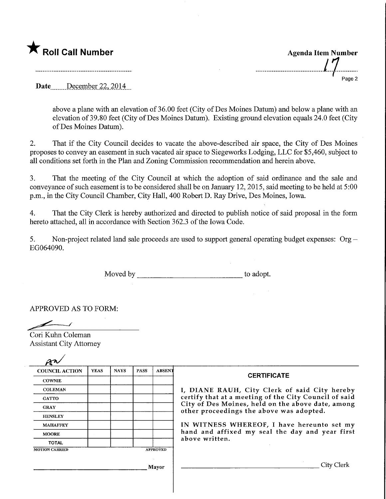Roll Call Number<br>
Roll Call Number<br>
17 Page 2

Date December 22, 2014

above a plane with an elevation of 36.00 feet (City of Des Moines Datum) and below a plane with an elevation of 39.80 feet (City of Des Moines Datum). Existing ground elevation equals 24.0 feet (City ofDes Moines Datum).

2. That if the City Council decides to vacate the above-described air space, the City of Des Moines proposes to convey an easement in such vacated air space to Siegeworks Lodging, LLC for \$5,460, subject to all conditions set forth in the Plan and Zoning Commission recommendation and herein above.

3. That the meeting of the City Council at which the adoption of said ordinance and the sale and conveyance of such easement is to be considered shall be on January 12,2015, said meeting to be held at 5:00 p.m., in the City Council Chamber, City Hall, 400 Robert D. Ray Drive, Des Moines, Iowa.

4. That the City Clerk is hereby authorized and directed to publish notice of said proposal in the form hereto attached, all in accordance with Section 362.3 of the Iowa Code.

5. Non-project related land sale proceeds are used to support general operating budget expenses:  $Org -$ EG064090.

Moved by the summary state of a short to adopt.

APPROVED AS TO FORM:

Cori Kuhn Coleman Assistant City Attorney

| <b>COUNCIL ACTION</b> | <b>YEAS</b> | <b>NAYS</b> | <b>PASS</b> | <b>ABSENT</b>   | <b>CERTIFICATE</b><br>I, DIANE RAUH, City Clerk of said City hereby                                                                                    |  |  |
|-----------------------|-------------|-------------|-------------|-----------------|--------------------------------------------------------------------------------------------------------------------------------------------------------|--|--|
| <b>COWNIE</b>         |             |             |             |                 |                                                                                                                                                        |  |  |
| <b>COLEMAN</b>        |             |             |             |                 |                                                                                                                                                        |  |  |
| <b>GATTO</b>          |             |             |             |                 | certify that at a meeting of the City Council of said<br>City of Des Moines, held on the above date, among<br>other proceedings the above was adopted. |  |  |
| <b>GRAY</b>           |             |             |             |                 |                                                                                                                                                        |  |  |
| <b>HENSLEY</b>        |             |             |             |                 | IN WITNESS WHEREOF, I have hereunto set my<br>hand and affixed my seal the day and year first<br>above written.                                        |  |  |
| <b>MAHAFFEY</b>       |             |             |             |                 |                                                                                                                                                        |  |  |
| <b>MOORE</b>          |             |             |             |                 |                                                                                                                                                        |  |  |
| <b>TOTAL</b>          |             |             |             |                 |                                                                                                                                                        |  |  |
| <b>MOTION CARRIED</b> |             |             |             | <b>APPROVED</b> |                                                                                                                                                        |  |  |
| Mayor                 |             |             |             |                 | City Clerk                                                                                                                                             |  |  |